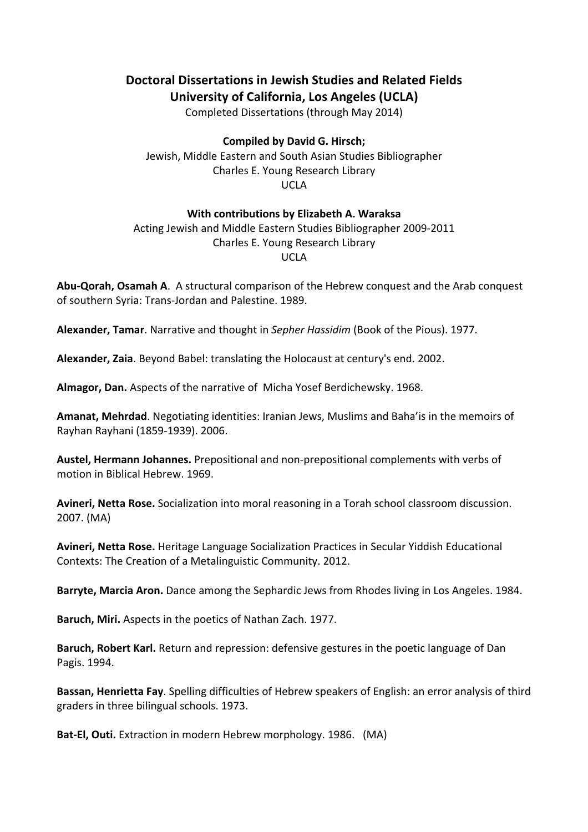## **Doctoral Dissertations in Jewish Studies and Related Fields University of California, Los Angeles (UCLA)**

Completed Dissertations (through May 2014)

## **Compiled by David G. Hirsch;**

Jewish, Middle Eastern and South Asian Studies Bibliographer Charles E. Young Research Library UCLA

## **With contributions by Elizabeth A. Waraksa**

## Acting Jewish and Middle Eastern Studies Bibliographer 2009-2011 Charles E. Young Research Library UCLA

**Abu-Qorah, Osamah A**. A structural comparison of the Hebrew conquest and the Arab conquest of southern Syria: Trans-Jordan and Palestine. 1989.

**Alexander, Tamar**. Narrative and thought in *Sepher Hassidim* (Book of the Pious). 1977.

**Alexander, Zaia**. Beyond Babel: translating the Holocaust at century's end. 2002.

**Almagor, Dan.** Aspects of the narrative of Micha Yosef Berdichewsky. 1968.

**Amanat, Mehrdad**. Negotiating identities: Iranian Jews, Muslims and Baha'is in the memoirs of Rayhan Rayhani (1859-1939). 2006.

**Austel, Hermann Johannes.** Prepositional and non-prepositional complements with verbs of motion in Biblical Hebrew. 1969.

**Avineri, Netta Rose.** Socialization into moral reasoning in a Torah school classroom discussion. 2007. (MA)

**Avineri, Netta Rose.** Heritage Language Socialization Practices in Secular Yiddish Educational Contexts: The Creation of a Metalinguistic Community. 2012.

**Barryte, Marcia Aron.** Dance among the Sephardic Jews from Rhodes living in Los Angeles. 1984.

**Baruch, Miri.** Aspects in the poetics of Nathan Zach. 1977.

**Baruch, Robert Karl.** Return and repression: defensive gestures in the poetic language of Dan Pagis. 1994.

**Bassan, Henrietta Fay**. Spelling difficulties of Hebrew speakers of English: an error analysis of third graders in three bilingual schools. 1973.

**Bat-El, Outi.** Extraction in modern Hebrew morphology. 1986. (MA)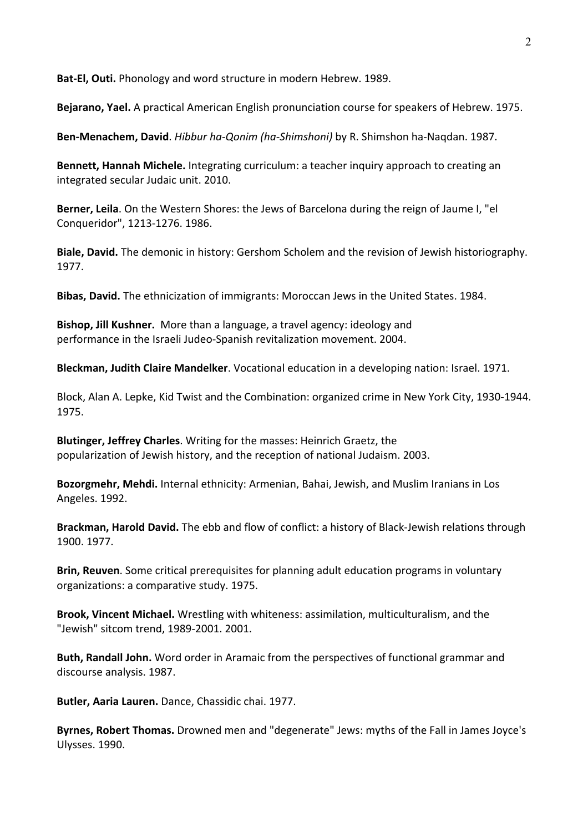**Bat-El, Outi.** Phonology and word structure in modern Hebrew. 1989.

**Bejarano, Yael.** A practical American English pronunciation course for speakers of Hebrew. 1975.

**Ben-Menachem, David**. *Hibbur ha-Qonim (ha-Shimshoni)* by R. Shimshon ha-Naqdan. 1987.

**Bennett, Hannah Michele.** Integrating curriculum: a teacher inquiry approach to creating an integrated secular Judaic unit. 2010.

**Berner, Leila**. On the Western Shores: the Jews of Barcelona during the reign of Jaume I, "el Conqueridor", 1213-1276. 1986.

**Biale, David.** The demonic in history: Gershom Scholem and the revision of Jewish historiography. 1977.

**Bibas, David.** The ethnicization of immigrants: Moroccan Jews in the United States. 1984.

**Bishop, Jill Kushner.** More than a language, a travel agency: ideology and performance in the Israeli Judeo-Spanish revitalization movement. 2004.

**Bleckman, Judith Claire Mandelker**. Vocational education in a developing nation: Israel. 1971.

Block, Alan A. Lepke, Kid Twist and the Combination: organized crime in New York City, 1930-1944. 1975.

**Blutinger, Jeffrey Charles**. Writing for the masses: Heinrich Graetz, the popularization of Jewish history, and the reception of national Judaism. 2003.

**Bozorgmehr, Mehdi.** Internal ethnicity: Armenian, Bahai, Jewish, and Muslim Iranians in Los Angeles. 1992.

**Brackman, Harold David.** The ebb and flow of conflict: a history of Black-Jewish relations through 1900. 1977.

**Brin, Reuven**. Some critical prerequisites for planning adult education programs in voluntary organizations: a comparative study. 1975.

**Brook, Vincent Michael.** Wrestling with whiteness: assimilation, multiculturalism, and the "Jewish" sitcom trend, 1989-2001. 2001.

**Buth, Randall John.** Word order in Aramaic from the perspectives of functional grammar and discourse analysis. 1987.

**Butler, Aaria Lauren.** Dance, Chassidic chai. 1977.

**Byrnes, Robert Thomas.** Drowned men and "degenerate" Jews: myths of the Fall in James Joyce's Ulysses. 1990.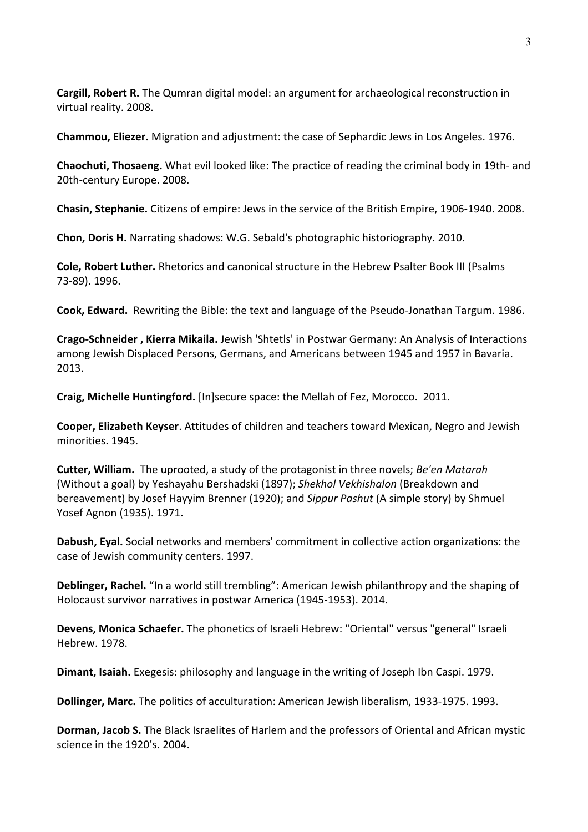**Cargill, Robert R.** The Qumran digital model: an argument for archaeological reconstruction in virtual reality. 2008.

**Chammou, Eliezer.** Migration and adjustment: the case of Sephardic Jews in Los Angeles. 1976.

**Chaochuti, Thosaeng.** What evil looked like: The practice of reading the criminal body in 19th- and 20th-century Europe. 2008.

**Chasin, Stephanie.** Citizens of empire: Jews in the service of the British Empire, 1906-1940. 2008.

**Chon, Doris H.** Narrating shadows: W.G. Sebald's photographic historiography. 2010.

**Cole, Robert Luther.** Rhetorics and canonical structure in the Hebrew Psalter Book III (Psalms 73-89). 1996.

**Cook, Edward.** Rewriting the Bible: the text and language of the Pseudo-Jonathan Targum. 1986.

**Crago-Schneider , Kierra Mikaila.** Jewish 'Shtetls' in Postwar Germany: An Analysis of Interactions among Jewish Displaced Persons, Germans, and Americans between 1945 and 1957 in Bavaria. 2013.

**Craig, Michelle Huntingford.** [In]secure space: the Mellah of Fez, Morocco. 2011.

**Cooper, Elizabeth Keyser**. Attitudes of children and teachers toward Mexican, Negro and Jewish minorities. 1945.

**Cutter, William.** The uprooted, a study of the protagonist in three novels; *Be'en Matarah* (Without a goal) by Yeshayahu Bershadski (1897); *Shekhol Vekhishalon* (Breakdown and bereavement) by Josef Hayyim Brenner (1920); and *Sippur Pashut* (A simple story) by Shmuel Yosef Agnon (1935). 1971.

**Dabush, Eyal.** Social networks and members' commitment in collective action organizations: the case of Jewish community centers. 1997.

**Deblinger, Rachel.** "In a world still trembling": American Jewish philanthropy and the shaping of Holocaust survivor narratives in postwar America (1945-1953). 2014.

**Devens, Monica Schaefer.** The phonetics of Israeli Hebrew: "Oriental" versus "general" Israeli Hebrew. 1978.

**Dimant, Isaiah.** Exegesis: philosophy and language in the writing of Joseph Ibn Caspi. 1979.

**Dollinger, Marc.** The politics of acculturation: American Jewish liberalism, 1933-1975. 1993.

**Dorman, Jacob S.** The Black Israelites of Harlem and the professors of Oriental and African mystic science in the 1920's. 2004.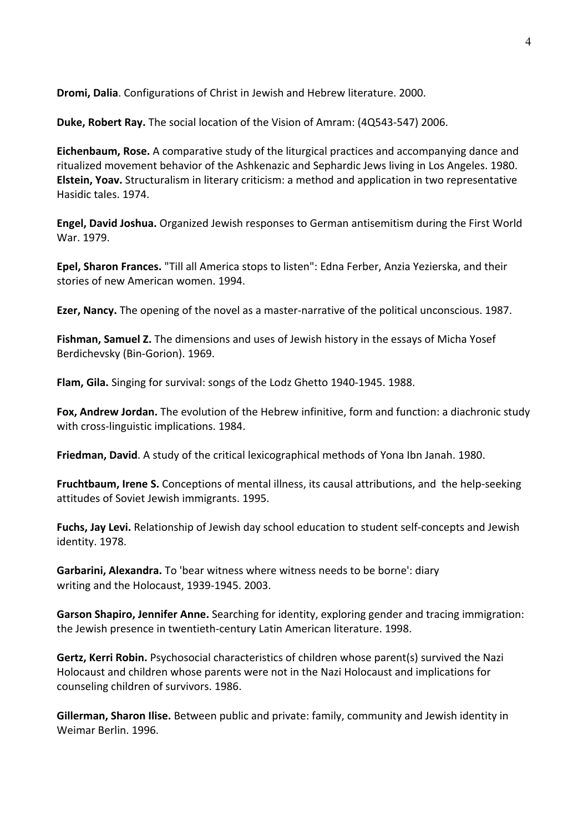**Dromi, Dalia**. Configurations of Christ in Jewish and Hebrew literature. 2000.

**Duke, Robert Ray.** The social location of the Vision of Amram: (4Q543-547) 2006.

**Eichenbaum, Rose.** A comparative study of the liturgical practices and accompanying dance and ritualized movement behavior of the Ashkenazic and Sephardic Jews living in Los Angeles. 1980. **Elstein, Yoav.** Structuralism in literary criticism: a method and application in two representative Hasidic tales. 1974.

**Engel, David Joshua.** Organized Jewish responses to German antisemitism during the First World War. 1979.

**Epel, Sharon Frances.** "Till all America stops to listen": Edna Ferber, Anzia Yezierska, and their stories of new American women. 1994.

**Ezer, Nancy.** The opening of the novel as a master-narrative of the political unconscious. 1987.

**Fishman, Samuel Z.** The dimensions and uses of Jewish history in the essays of Micha Yosef Berdichevsky (Bin-Gorion). 1969.

**Flam, Gila.** Singing for survival: songs of the Lodz Ghetto 1940-1945. 1988.

**Fox, Andrew Jordan.** The evolution of the Hebrew infinitive, form and function: a diachronic study with cross-linguistic implications. 1984.

**Friedman, David**. A study of the critical lexicographical methods of Yona Ibn Janah. 1980.

**Fruchtbaum, Irene S.** Conceptions of mental illness, its causal attributions, and the help-seeking attitudes of Soviet Jewish immigrants. 1995.

**Fuchs, Jay Levi.** Relationship of Jewish day school education to student self-concepts and Jewish identity. 1978.

**Garbarini, Alexandra.** To 'bear witness where witness needs to be borne': diary writing and the Holocaust, 1939-1945. 2003.

**Garson Shapiro, Jennifer Anne.** Searching for identity, exploring gender and tracing immigration: the Jewish presence in twentieth-century Latin American literature. 1998.

**Gertz, Kerri Robin.** Psychosocial characteristics of children whose parent(s) survived the Nazi Holocaust and children whose parents were not in the Nazi Holocaust and implications for counseling children of survivors. 1986.

**Gillerman, Sharon Ilise.** Between public and private: family, community and Jewish identity in Weimar Berlin. 1996.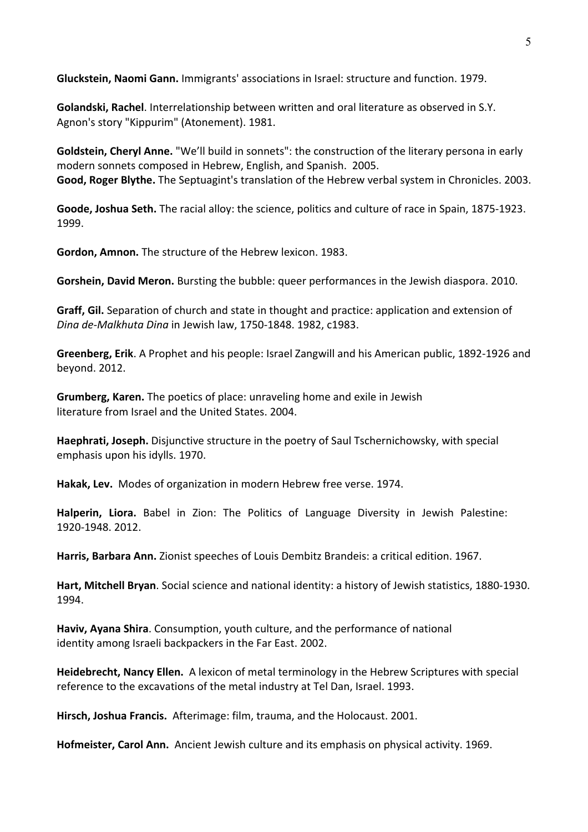**Gluckstein, Naomi Gann.** Immigrants' associations in Israel: structure and function. 1979.

**Golandski, Rachel**. Interrelationship between written and oral literature as observed in S.Y. Agnon's story "Kippurim" (Atonement). 1981.

**Goldstein, Cheryl Anne.** "We'll build in sonnets": the construction of the literary persona in early modern sonnets composed in Hebrew, English, and Spanish. 2005. **Good, Roger Blythe.** The Septuagint's translation of the Hebrew verbal system in Chronicles. 2003.

**Goode, Joshua Seth.** The racial alloy: the science, politics and culture of race in Spain, 1875-1923. 1999.

**Gordon, Amnon.** The structure of the Hebrew lexicon. 1983.

**Gorshein, David Meron.** Bursting the bubble: queer performances in the Jewish diaspora. 2010.

**Graff, Gil.** Separation of church and state in thought and practice: application and extension of *Dina de-Malkhuta Dina* in Jewish law, 1750-1848. 1982, c1983.

**Greenberg, Erik**. A Prophet and his people: Israel Zangwill and his American public, 1892-1926 and beyond. 2012.

**Grumberg, Karen.** The poetics of place: unraveling home and exile in Jewish literature from Israel and the United States. 2004.

**Haephrati, Joseph.** Disjunctive structure in the poetry of Saul Tschernichowsky, with special emphasis upon his idylls. 1970.

**Hakak, Lev.** Modes of organization in modern Hebrew free verse. 1974.

**Halperin, Liora.** Babel in Zion: The Politics of Language Diversity in Jewish Palestine: 1920-1948. 2012.

**Harris, Barbara Ann.** Zionist speeches of Louis Dembitz Brandeis: a critical edition. 1967.

**Hart, Mitchell Bryan**. Social science and national identity: a history of Jewish statistics, 1880-1930. 1994.

**Haviv, Ayana Shira**. Consumption, youth culture, and the performance of national identity among Israeli backpackers in the Far East. 2002.

**Heidebrecht, Nancy Ellen.** A lexicon of metal terminology in the Hebrew Scriptures with special reference to the excavations of the metal industry at Tel Dan, Israel. 1993.

**Hirsch, Joshua Francis.** Afterimage: film, trauma, and the Holocaust. 2001.

**Hofmeister, Carol Ann.** Ancient Jewish culture and its emphasis on physical activity. 1969.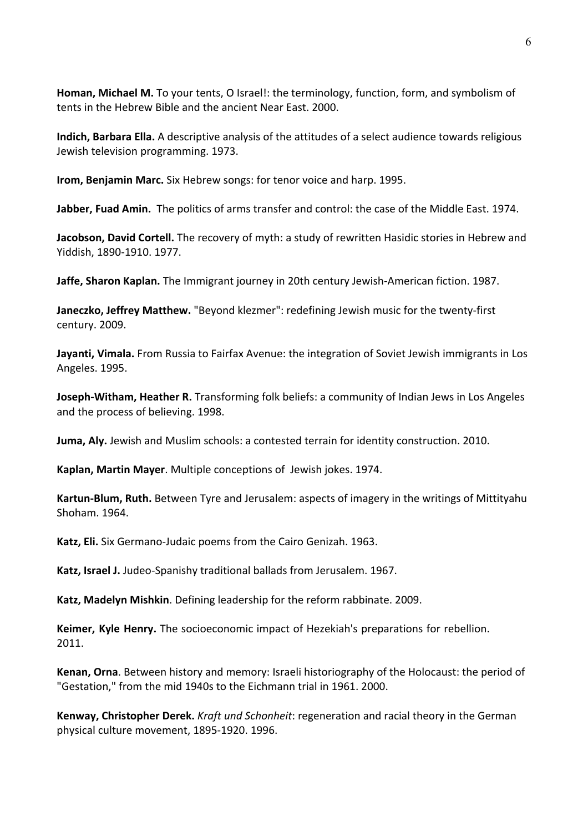**Homan, Michael M.** To your tents, O Israel!: the terminology, function, form, and symbolism of tents in the Hebrew Bible and the ancient Near East. 2000.

**Indich, Barbara Ella.** A descriptive analysis of the attitudes of a select audience towards religious Jewish television programming. 1973.

**Irom, Benjamin Marc.** Six Hebrew songs: for tenor voice and harp. 1995.

**Jabber, Fuad Amin.** The politics of arms transfer and control: the case of the Middle East. 1974.

**Jacobson, David Cortell.** The recovery of myth: a study of rewritten Hasidic stories in Hebrew and Yiddish, 1890-1910. 1977.

**Jaffe, Sharon Kaplan.** The Immigrant journey in 20th century Jewish-American fiction. 1987.

**Janeczko, Jeffrey Matthew.** "Beyond klezmer": redefining Jewish music for the twenty-first century. 2009.

**Jayanti, Vimala.** From Russia to Fairfax Avenue: the integration of Soviet Jewish immigrants in Los Angeles. 1995.

**Joseph-Witham, Heather R.** Transforming folk beliefs: a community of Indian Jews in Los Angeles and the process of believing. 1998.

**Juma, Aly.** Jewish and Muslim schools: a contested terrain for identity construction. 2010.

**Kaplan, Martin Mayer**. Multiple conceptions of Jewish jokes. 1974.

**Kartun-Blum, Ruth.** Between Tyre and Jerusalem: aspects of imagery in the writings of Mittityahu Shoham. 1964.

**Katz, Eli.** Six Germano-Judaic poems from the Cairo Genizah. 1963.

**Katz, Israel J.** Judeo-Spanishy traditional ballads from Jerusalem. 1967.

**Katz, Madelyn Mishkin**. Defining leadership for the reform rabbinate. 2009.

**Keimer, Kyle Henry.** The socioeconomic impact of Hezekiah's preparations for rebellion. 2011.

**Kenan, Orna**. Between history and memory: Israeli historiography of the Holocaust: the period of "Gestation," from the mid 1940s to the Eichmann trial in 1961. 2000.

**Kenway, Christopher Derek.** *Kraft und Schonheit*: regeneration and racial theory in the German physical culture movement, 1895-1920. 1996.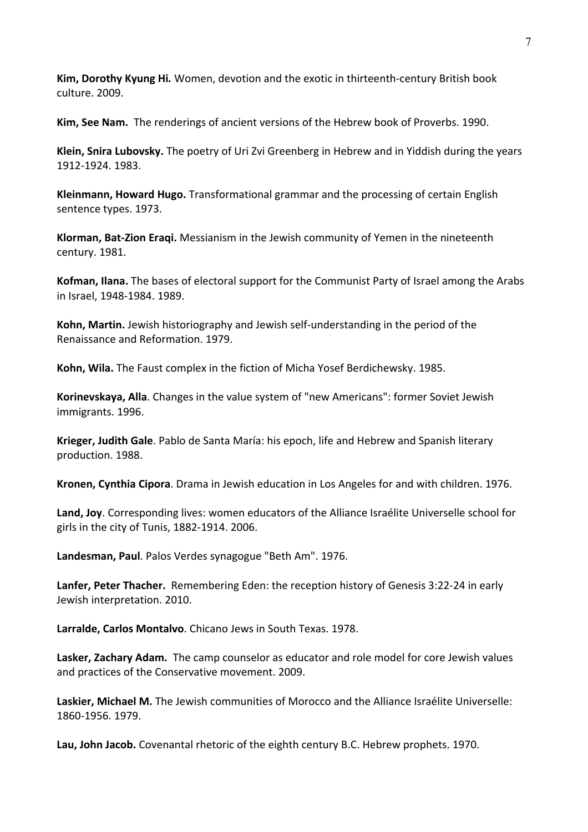**Kim, Dorothy Kyung Hi***.* Women, devotion and the exotic in thirteenth-century British book culture. 2009.

**Kim, See Nam.** The renderings of ancient versions of the Hebrew book of Proverbs. 1990.

**Klein, Snira Lubovsky.** The poetry of Uri Zvi Greenberg in Hebrew and in Yiddish during the years 1912-1924. 1983.

**Kleinmann, Howard Hugo.** Transformational grammar and the processing of certain English sentence types. 1973.

**Klorman, Bat-Zion Eraqi.** Messianism in the Jewish community of Yemen in the nineteenth century. 1981.

**Kofman, Ilana.** The bases of electoral support for the Communist Party of Israel among the Arabs in Israel, 1948-1984. 1989.

**Kohn, Martin.** Jewish historiography and Jewish self-understanding in the period of the Renaissance and Reformation. 1979.

**Kohn, Wila.** The Faust complex in the fiction of Micha Yosef Berdichewsky. 1985.

**Korinevskaya, Alla**. Changes in the value system of "new Americans": former Soviet Jewish immigrants. 1996.

**Krieger, Judith Gale**. Pablo de Santa María: his epoch, life and Hebrew and Spanish literary production. 1988.

**Kronen, Cynthia Cipora**. Drama in Jewish education in Los Angeles for and with children. 1976.

**Land, Joy**. Corresponding lives: women educators of the Alliance Israélite Universelle school for girls in the city of Tunis, 1882-1914. 2006.

**Landesman, Paul**. Palos Verdes synagogue "Beth Am". 1976.

**Lanfer, Peter Thacher.** Remembering Eden: the reception history of Genesis 3:22-24 in early Jewish interpretation. 2010.

**Larralde, Carlos Montalvo**. Chicano Jews in South Texas. 1978.

**Lasker, Zachary Adam.** The camp counselor as educator and role model for core Jewish values and practices of the Conservative movement. 2009.

**Laskier, Michael M.** The Jewish communities of Morocco and the Alliance Israélite Universelle: 1860-1956. 1979.

**Lau, John Jacob.** Covenantal rhetoric of the eighth century B.C. Hebrew prophets. 1970.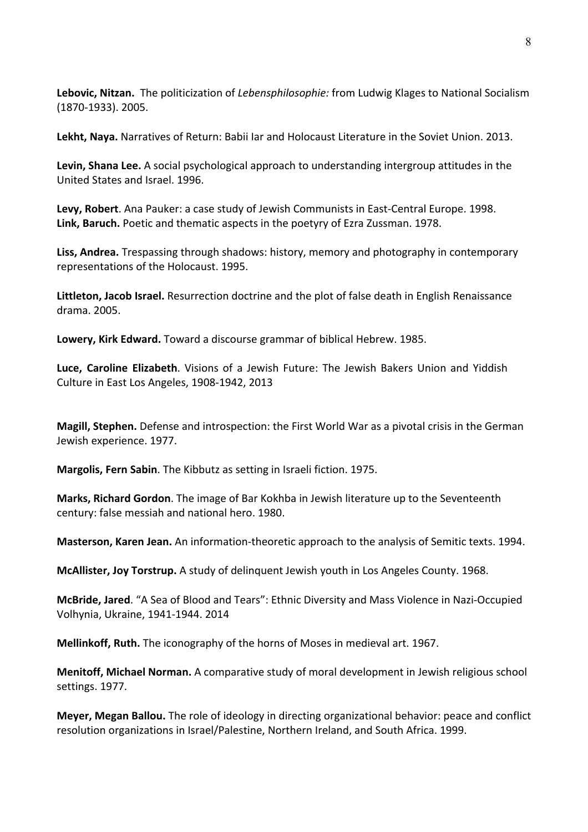**Lebovic, Nitzan.** The politicization of *Lebensphilosophie:* from Ludwig Klages to National Socialism (1870-1933). 2005.

**Lekht, Naya.** Narratives of Return: Babii Iar and Holocaust Literature in the Soviet Union. 2013.

**Levin, Shana Lee.** A social psychological approach to understanding intergroup attitudes in the United States and Israel. 1996.

**Levy, Robert**. Ana Pauker: a case study of Jewish Communists in East-Central Europe. 1998. **Link, Baruch.** Poetic and thematic aspects in the poetyry of Ezra Zussman. 1978.

**Liss, Andrea.** Trespassing through shadows: history, memory and photography in contemporary representations of the Holocaust. 1995.

**Littleton, Jacob Israel.** Resurrection doctrine and the plot of false death in English Renaissance drama. 2005.

**Lowery, Kirk Edward.** Toward a discourse grammar of biblical Hebrew. 1985.

**Luce, Caroline Elizabeth**. Visions of a Jewish Future: The Jewish Bakers Union and Yiddish Culture in East Los Angeles, 1908-1942, 2013

**Magill, Stephen.** Defense and introspection: the First World War as a pivotal crisis in the German Jewish experience. 1977.

**Margolis, Fern Sabin**. The Kibbutz as setting in Israeli fiction. 1975.

**Marks, Richard Gordon**. The image of Bar Kokhba in Jewish literature up to the Seventeenth century: false messiah and national hero. 1980.

**Masterson, Karen Jean.** An information-theoretic approach to the analysis of Semitic texts. 1994.

**McAllister, Joy Torstrup.** A study of delinquent Jewish youth in Los Angeles County. 1968.

**McBride, Jared**. "A Sea of Blood and Tears": Ethnic Diversity and Mass Violence in Nazi-Occupied Volhynia, Ukraine, 1941-1944. 2014

**Mellinkoff, Ruth.** The iconography of the horns of Moses in medieval art. 1967.

**Menitoff, Michael Norman.** A comparative study of moral development in Jewish religious school settings. 1977.

**Meyer, Megan Ballou.** The role of ideology in directing organizational behavior: peace and conflict resolution organizations in Israel/Palestine, Northern Ireland, and South Africa. 1999.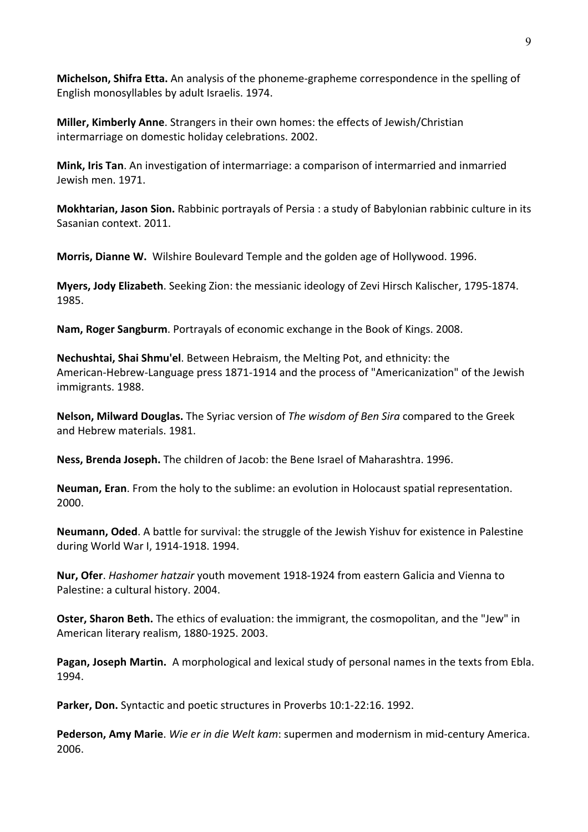**Michelson, Shifra Etta.** An analysis of the phoneme-grapheme correspondence in the spelling of English monosyllables by adult Israelis. 1974.

**Miller, Kimberly Anne**. Strangers in their own homes: the effects of Jewish/Christian intermarriage on domestic holiday celebrations. 2002.

**Mink, Iris Tan**. An investigation of intermarriage: a comparison of intermarried and inmarried Jewish men. 1971.

**Mokhtarian, Jason Sion.** Rabbinic portrayals of Persia : a study of Babylonian rabbinic culture in its Sasanian context. 2011.

**Morris, Dianne W.** Wilshire Boulevard Temple and the golden age of Hollywood. 1996.

**Myers, Jody Elizabeth**. Seeking Zion: the messianic ideology of Zevi Hirsch Kalischer, 1795-1874. 1985.

**Nam, Roger Sangburm**. Portrayals of economic exchange in the Book of Kings. 2008.

**Nechushtai, Shai Shmu'el**. Between Hebraism, the Melting Pot, and ethnicity: the American-Hebrew-Language press 1871-1914 and the process of "Americanization" of the Jewish immigrants. 1988.

**Nelson, Milward Douglas.** The Syriac version of *The wisdom of Ben Sira* compared to the Greek and Hebrew materials. 1981.

**Ness, Brenda Joseph.** The children of Jacob: the Bene Israel of Maharashtra. 1996.

**Neuman, Eran**. From the holy to the sublime: an evolution in Holocaust spatial representation. 2000.

**Neumann, Oded**. A battle for survival: the struggle of the Jewish Yishuv for existence in Palestine during World War I, 1914-1918. 1994.

**Nur, Ofer**. *Hashomer hatzair* youth movement 1918-1924 from eastern Galicia and Vienna to Palestine: a cultural history. 2004.

**Oster, Sharon Beth.** The ethics of evaluation: the immigrant, the cosmopolitan, and the "Jew" in American literary realism, 1880-1925. 2003.

**Pagan, Joseph Martin.** A morphological and lexical study of personal names in the texts from Ebla. 1994.

**Parker, Don.** Syntactic and poetic structures in Proverbs 10:1-22:16. 1992.

**Pederson, Amy Marie**. *Wie er in die Welt kam*: supermen and modernism in mid-century America. 2006.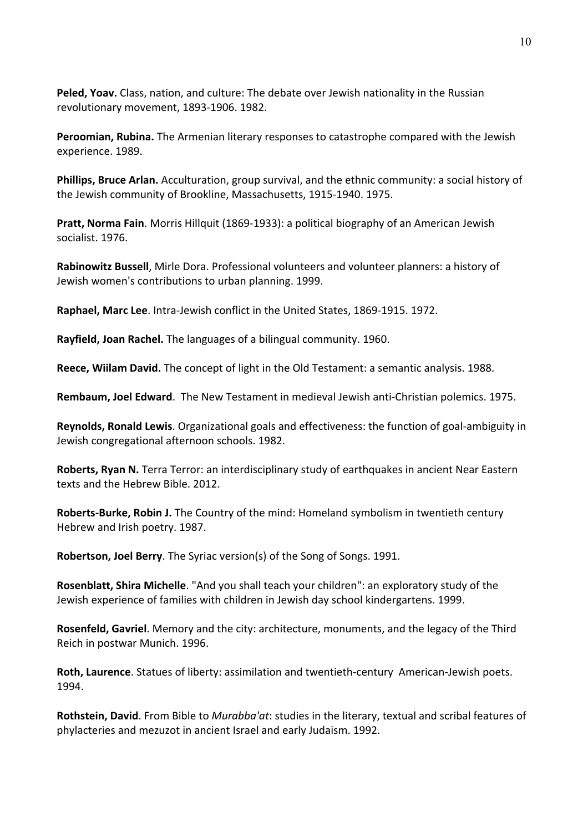**Peled, Yoav.** Class, nation, and culture: The debate over Jewish nationality in the Russian revolutionary movement, 1893-1906. 1982.

**Peroomian, Rubina.** The Armenian literary responses to catastrophe compared with the Jewish experience. 1989.

**Phillips, Bruce Arlan.** Acculturation, group survival, and the ethnic community: a social history of the Jewish community of Brookline, Massachusetts, 1915-1940. 1975.

**Pratt, Norma Fain**. Morris Hillquit (1869-1933): a political biography of an American Jewish socialist. 1976.

**Rabinowitz Bussell**, Mirle Dora. Professional volunteers and volunteer planners: a history of Jewish women's contributions to urban planning. 1999.

**Raphael, Marc Lee**. Intra-Jewish conflict in the United States, 1869-1915. 1972.

**Rayfield, Joan Rachel.** The languages of a bilingual community. 1960.

**Reece, Wiilam David.** The concept of light in the Old Testament: a semantic analysis. 1988.

**Rembaum, Joel Edward**. The New Testament in medieval Jewish anti-Christian polemics. 1975.

**Reynolds, Ronald Lewis**. Organizational goals and effectiveness: the function of goal-ambiguity in Jewish congregational afternoon schools. 1982.

**Roberts, Ryan N.** Terra Terror: an interdisciplinary study of earthquakes in ancient Near Eastern texts and the Hebrew Bible. 2012.

**Roberts-Burke, Robin J.** The Country of the mind: Homeland symbolism in twentieth century Hebrew and Irish poetry. 1987.

**Robertson, Joel Berry**. The Syriac version(s) of the Song of Songs. 1991.

**Rosenblatt, Shira Michelle**. "And you shall teach your children": an exploratory study of the Jewish experience of families with children in Jewish day school kindergartens. 1999.

**Rosenfeld, Gavriel**. Memory and the city: architecture, monuments, and the legacy of the Third Reich in postwar Munich. 1996.

**Roth, Laurence**. Statues of liberty: assimilation and twentieth-century American-Jewish poets. 1994.

**Rothstein, David**. From Bible to *Murabba'at*: studies in the literary, textual and scribal features of phylacteries and mezuzot in ancient Israel and early Judaism. 1992.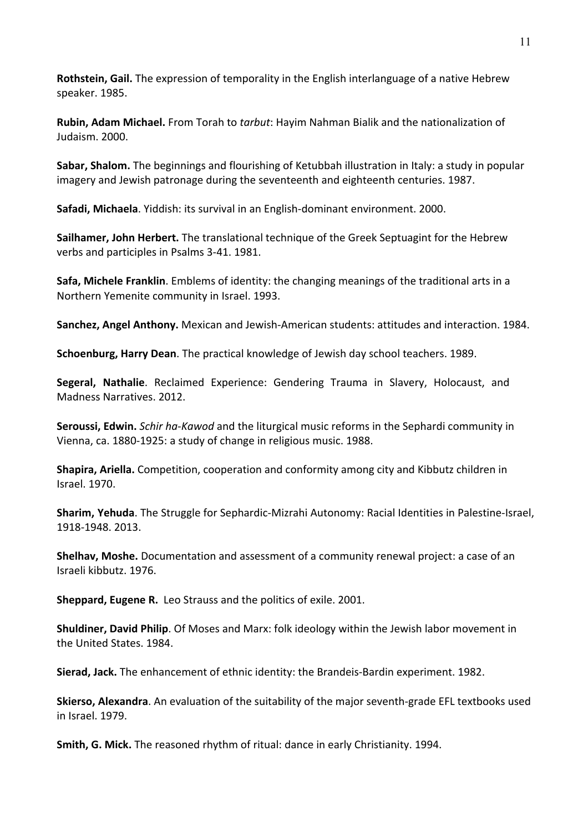**Rothstein, Gail.** The expression of temporality in the English interlanguage of a native Hebrew speaker. 1985.

**Rubin, Adam Michael.** From Torah to *tarbut*: Hayim Nahman Bialik and the nationalization of Judaism. 2000.

**Sabar, Shalom.** The beginnings and flourishing of Ketubbah illustration in Italy: a study in popular imagery and Jewish patronage during the seventeenth and eighteenth centuries. 1987.

**Safadi, Michaela**. Yiddish: its survival in an English-dominant environment. 2000.

**Sailhamer, John Herbert.** The translational technique of the Greek Septuagint for the Hebrew verbs and participles in Psalms 3-41. 1981.

**Safa, Michele Franklin**. Emblems of identity: the changing meanings of the traditional arts in a Northern Yemenite community in Israel. 1993.

**Sanchez, Angel Anthony.** Mexican and Jewish-American students: attitudes and interaction. 1984.

**Schoenburg, Harry Dean**. The practical knowledge of Jewish day school teachers. 1989.

**Segeral, Nathalie**. Reclaimed Experience: Gendering Trauma in Slavery, Holocaust, and Madness Narratives. 2012.

**Seroussi, Edwin.** *Schir ha-Kawod* and the liturgical music reforms in the Sephardi community in Vienna, ca. 1880-1925: a study of change in religious music. 1988.

**Shapira, Ariella.** Competition, cooperation and conformity among city and Kibbutz children in Israel. 1970.

**Sharim, Yehuda**. The Struggle for Sephardic-Mizrahi Autonomy: Racial Identities in Palestine-Israel, 1918-1948. 2013.

**Shelhav, Moshe.** Documentation and assessment of a community renewal project: a case of an Israeli kibbutz. 1976.

**Sheppard, Eugene R.** Leo Strauss and the politics of exile. 2001.

**Shuldiner, David Philip**. Of Moses and Marx: folk ideology within the Jewish labor movement in the United States. 1984.

**Sierad, Jack.** The enhancement of ethnic identity: the Brandeis-Bardin experiment. 1982.

**Skierso, Alexandra**. An evaluation of the suitability of the major seventh-grade EFL textbooks used in Israel. 1979.

**Smith, G. Mick.** The reasoned rhythm of ritual: dance in early Christianity. 1994.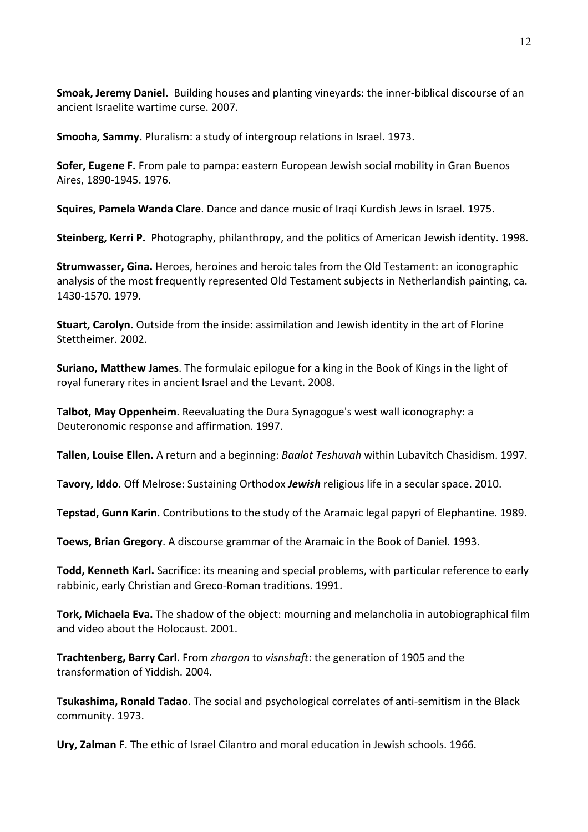**Smoak, Jeremy Daniel.** Building houses and planting vineyards: the inner-biblical discourse of an ancient Israelite wartime curse. 2007.

**Smooha, Sammy.** Pluralism: a study of intergroup relations in Israel. 1973.

**Sofer, Eugene F.** From pale to pampa: eastern European Jewish social mobility in Gran Buenos Aires, 1890-1945. 1976.

**Squires, Pamela Wanda Clare**. Dance and dance music of Iraqi Kurdish Jews in Israel. 1975.

**Steinberg, Kerri P.** Photography, philanthropy, and the politics of American Jewish identity. 1998.

**Strumwasser, Gina.** Heroes, heroines and heroic tales from the Old Testament: an iconographic analysis of the most frequently represented Old Testament subjects in Netherlandish painting, ca. 1430-1570. 1979.

**Stuart, Carolyn.** Outside from the inside: assimilation and Jewish identity in the art of Florine Stettheimer. 2002.

**Suriano, Matthew James**. The formulaic epilogue for a king in the Book of Kings in the light of royal funerary rites in ancient Israel and the Levant. 2008.

**Talbot, May Oppenheim**. Reevaluating the Dura Synagogue's west wall iconography: a Deuteronomic response and affirmation. 1997.

**Tallen, Louise Ellen.** A return and a beginning: *Baalot Teshuvah* within Lubavitch Chasidism. 1997.

**Tavory, Iddo**. Off Melrose: Sustaining Orthodox *Jewish* religious life in a secular space. 2010.

**Tepstad, Gunn Karin.** Contributions to the study of the Aramaic legal papyri of Elephantine. 1989.

**Toews, Brian Gregory**. A discourse grammar of the Aramaic in the Book of Daniel. 1993.

**Todd, Kenneth Karl.** Sacrifice: its meaning and special problems, with particular reference to early rabbinic, early Christian and Greco-Roman traditions. 1991.

**Tork, Michaela Eva.** The shadow of the object: mourning and melancholia in autobiographical film and video about the Holocaust. 2001.

**Trachtenberg, Barry Carl**. From *zhargon* to *visnshaft*: the generation of 1905 and the transformation of Yiddish. 2004.

**Tsukashima, Ronald Tadao**. The social and psychological correlates of anti-semitism in the Black community. 1973.

**Ury, Zalman F**. The ethic of Israel Cilantro and moral education in Jewish schools. 1966.